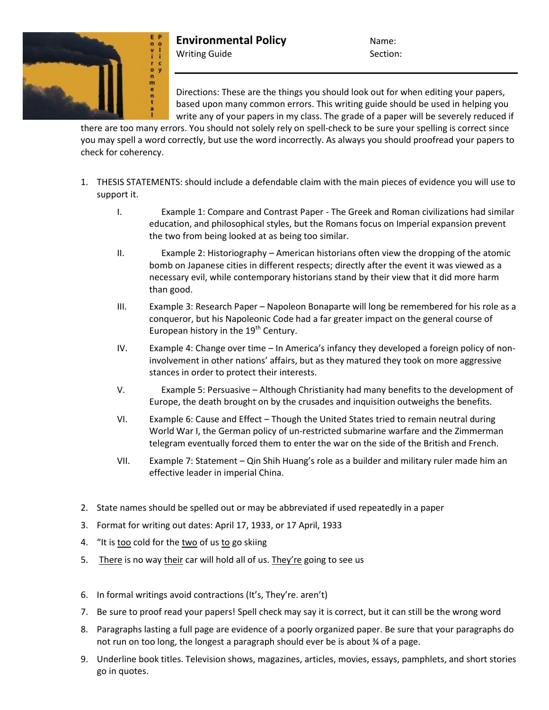

**Environmental Policy** Name: Writing Guide Section:

Directions: These are the things you should look out for when editing your papers, based upon many common errors. This writing guide should be used in helping you write any of your papers in my class. The grade of a paper will be severely reduced if

there are too many errors. You should not solely rely on spell-check to be sure your spelling is correct since you may spell a word correctly, but use the word incorrectly. As always you should proofread your papers to check for coherency.

- 1. THESIS STATEMENTS: should include a defendable claim with the main pieces of evidence you will use to support it.
	- I. Example 1: Compare and Contrast Paper The Greek and Roman civilizations had similar education, and philosophical styles, but the Romans focus on Imperial expansion prevent the two from being looked at as being too similar.
	- II. Example 2: Historiography American historians often view the dropping of the atomic bomb on Japanese cities in different respects; directly after the event it was viewed as a necessary evil, while contemporary historians stand by their view that it did more harm than good.
	- III. Example 3: Research Paper Napoleon Bonaparte will long be remembered for his role as a conqueror, but his Napoleonic Code had a far greater impact on the general course of European history in the  $19<sup>th</sup>$  Century.
	- IV. Example 4: Change over time In America's infancy they developed a foreign policy of noninvolvement in other nations' affairs, but as they matured they took on more aggressive stances in order to protect their interests.
	- V. Example 5: Persuasive Although Christianity had many benefits to the development of Europe, the death brought on by the crusades and inquisition outweighs the benefits.
	- VI. Example 6: Cause and Effect Though the United States tried to remain neutral during World War I, the German policy of un-restricted submarine warfare and the Zimmerman telegram eventually forced them to enter the war on the side of the British and French.
	- VII. Example 7: Statement Qin Shih Huang's role as a builder and military ruler made him an effective leader in imperial China.
- 2. State names should be spelled out or may be abbreviated if used repeatedly in a paper
- 3. Format for writing out dates: April 17, 1933, or 17 April, 1933
- 4. "It is too cold for the two of us to go skiing
- 5. There is no way their car will hold all of us. They're going to see us
- 6. In formal writings avoid contractions (It's, They're. aren't)
- 7. Be sure to proof read your papers! Spell check may say it is correct, but it can still be the wrong word
- 8. Paragraphs lasting a full page are evidence of a poorly organized paper. Be sure that your paragraphs do not run on too long, the longest a paragraph should ever be is about ¾ of a page.
- 9. Underline book titles. Television shows, magazines, articles, movies, essays, pamphlets, and short stories go in quotes.